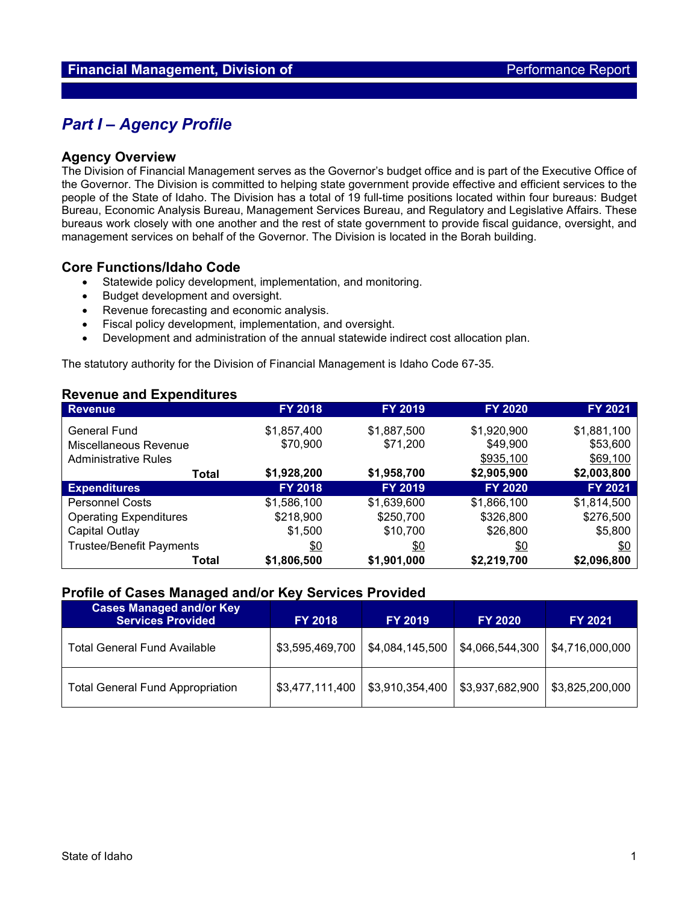## *Part I – Agency Profile*

#### **Agency Overview**

The Division of Financial Management serves as the Governor's budget office and is part of the Executive Office of the Governor. The Division is committed to helping state government provide effective and efficient services to the people of the State of Idaho. The Division has a total of 19 full-time positions located within four bureaus: Budget Bureau, Economic Analysis Bureau, Management Services Bureau, and Regulatory and Legislative Affairs. These bureaus work closely with one another and the rest of state government to provide fiscal guidance, oversight, and management services on behalf of the Governor. The Division is located in the Borah building.

#### **Core Functions/Idaho Code**

- Statewide policy development, implementation, and monitoring.
- Budget development and oversight.
- Revenue forecasting and economic analysis.
- Fiscal policy development, implementation, and oversight.
- Development and administration of the annual statewide indirect cost allocation plan.

The statutory authority for the Division of Financial Management is Idaho Code 67-35.

#### **Revenue and Expenditures**

| <b>Revenue</b>                  | <b>FY 2018</b> | FY 2019     | <b>FY 2020</b> | FY 2021        |
|---------------------------------|----------------|-------------|----------------|----------------|
| <b>General Fund</b>             | \$1,857,400    | \$1,887,500 | \$1,920,900    | \$1,881,100    |
| Miscellaneous Revenue           | \$70,900       | \$71,200    | \$49,900       | \$53,600       |
| <b>Administrative Rules</b>     |                |             | \$935,100      | \$69,100       |
| Total                           | \$1,928,200    | \$1,958,700 | \$2,905,900    | \$2,003,800    |
| <b>Expenditures</b>             | <b>FY 2018</b> | FY 2019     | <b>FY 2020</b> | <b>FY 2021</b> |
| <b>Personnel Costs</b>          | \$1,586,100    | \$1,639,600 | \$1,866,100    | \$1,814,500    |
| <b>Operating Expenditures</b>   | \$218,900      | \$250,700   | \$326,800      | \$276,500      |
| Capital Outlay                  | \$1,500        | \$10,700    | \$26,800       | \$5,800        |
| <b>Trustee/Benefit Payments</b> | \$0            | \$0         | \$0            | \$0            |
| Total                           | \$1,806,500    | \$1,901,000 | \$2,219,700    | \$2,096,800    |

#### **Profile of Cases Managed and/or Key Services Provided**

| <b>Cases Managed and/or Key</b><br><b>Services Provided</b> | <b>FY 2018</b>  | <b>FY 2019</b>  | <b>FY 2020</b>  | <b>FY 2021</b>  |  |
|-------------------------------------------------------------|-----------------|-----------------|-----------------|-----------------|--|
| <b>Total General Fund Available</b>                         | \$3,595,469,700 | \$4,084,145,500 | \$4,066,544,300 | \$4,716,000,000 |  |
| <b>Total General Fund Appropriation</b>                     | \$3,477,111,400 | \$3,910,354,400 | \$3,937,682,900 | \$3,825,200,000 |  |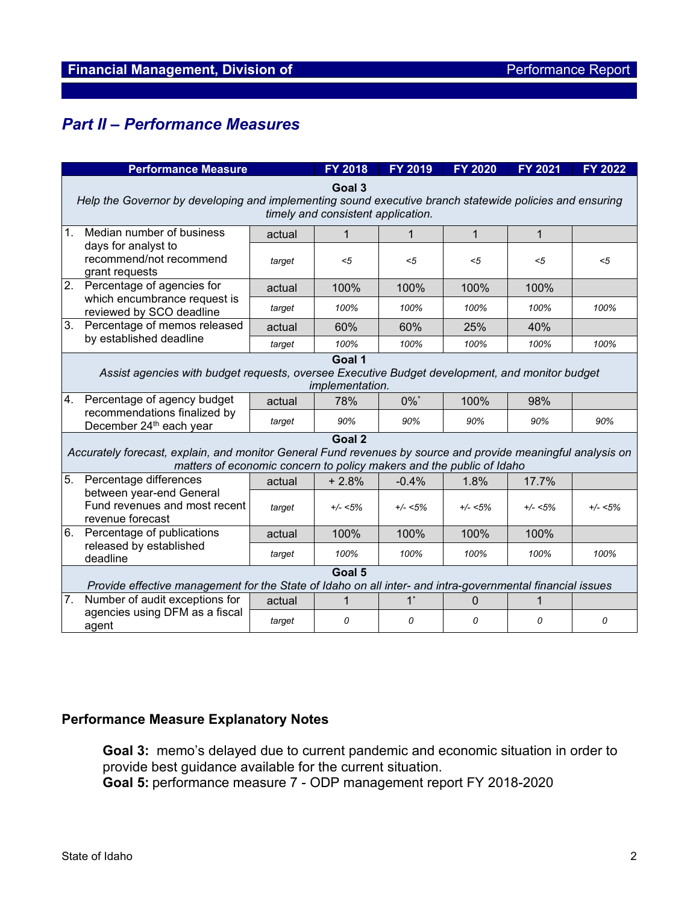# *Part II – Performance Measures*

| <b>Performance Measure</b>                                                                                                                                                                     |                                                                               | <b>FY 2018</b> | <b>FY 2019</b> | <b>FY 2020</b>     | FY 2021      | <b>FY 2022</b> |             |  |  |
|------------------------------------------------------------------------------------------------------------------------------------------------------------------------------------------------|-------------------------------------------------------------------------------|----------------|----------------|--------------------|--------------|----------------|-------------|--|--|
| Goal 3<br>Help the Governor by developing and implementing sound executive branch statewide policies and ensuring<br>timely and consistent application.                                        |                                                                               |                |                |                    |              |                |             |  |  |
| $\mathbf 1$ .                                                                                                                                                                                  | Median number of business                                                     | actual         | 1              | 1                  | $\mathbf{1}$ | $\mathbf{1}$   |             |  |  |
|                                                                                                                                                                                                | days for analyst to<br>recommend/not recommend<br>grant requests              | target         | $5$            | $5$                | <5           | $5$            | $5$         |  |  |
| $\overline{2}$ .                                                                                                                                                                               | Percentage of agencies for                                                    | actual         | 100%           | 100%               | 100%         | 100%           |             |  |  |
| which encumbrance request is<br>reviewed by SCO deadline                                                                                                                                       | target                                                                        | 100%           | 100%           | 100%               | 100%         | 100%           |             |  |  |
| 3.                                                                                                                                                                                             | Percentage of memos released                                                  | actual         | 60%            | 60%                | 25%          | 40%            |             |  |  |
|                                                                                                                                                                                                | by established deadline                                                       | target         | 100%           | 100%               | 100%         | 100%           | 100%        |  |  |
| Goal 1<br>Assist agencies with budget requests, oversee Executive Budget development, and monitor budget<br>implementation.                                                                    |                                                                               |                |                |                    |              |                |             |  |  |
| 4.                                                                                                                                                                                             | Percentage of agency budget                                                   | actual         | 78%            | $0\%$ <sup>*</sup> | 100%         | 98%            |             |  |  |
|                                                                                                                                                                                                | recommendations finalized by<br>December 24 <sup>th</sup> each year           | target         | 90%            | 90%                | 90%          | 90%            | 90%         |  |  |
| Goal 2<br>Accurately forecast, explain, and monitor General Fund revenues by source and provide meaningful analysis on<br>matters of economic concern to policy makers and the public of Idaho |                                                                               |                |                |                    |              |                |             |  |  |
| 5.                                                                                                                                                                                             | Percentage differences                                                        | actual         | $+2.8%$        | $-0.4%$            | 1.8%         | 17.7%          |             |  |  |
|                                                                                                                                                                                                | between year-end General<br>Fund revenues and most recent<br>revenue forecast | target         | $+/- < 5\%$    | $+/- < 5\%$        | $+/- < 5\%$  | $+/- < 5\%$    | $+/- < 5\%$ |  |  |
| 6.                                                                                                                                                                                             | Percentage of publications<br>released by established<br>deadline             | actual         | 100%           | 100%               | 100%         | 100%           |             |  |  |
|                                                                                                                                                                                                |                                                                               | target         | 100%           | 100%               | 100%         | 100%           | 100%        |  |  |
| Goal 5<br>Provide effective management for the State of Idaho on all inter- and intra-governmental financial issues                                                                            |                                                                               |                |                |                    |              |                |             |  |  |
| 7.                                                                                                                                                                                             | Number of audit exceptions for                                                | actual         | 1              | $1^*$              | $\Omega$     | 1              |             |  |  |
|                                                                                                                                                                                                | agencies using DFM as a fiscal<br>agent                                       | target         | 0              | 0                  | 0            | 0              | 0           |  |  |

### **Performance Measure Explanatory Notes**

**Goal 3:** memo's delayed due to current pandemic and economic situation in order to provide best guidance available for the current situation.

**Goal 5:** performance measure 7 - ODP management report FY 2018-2020